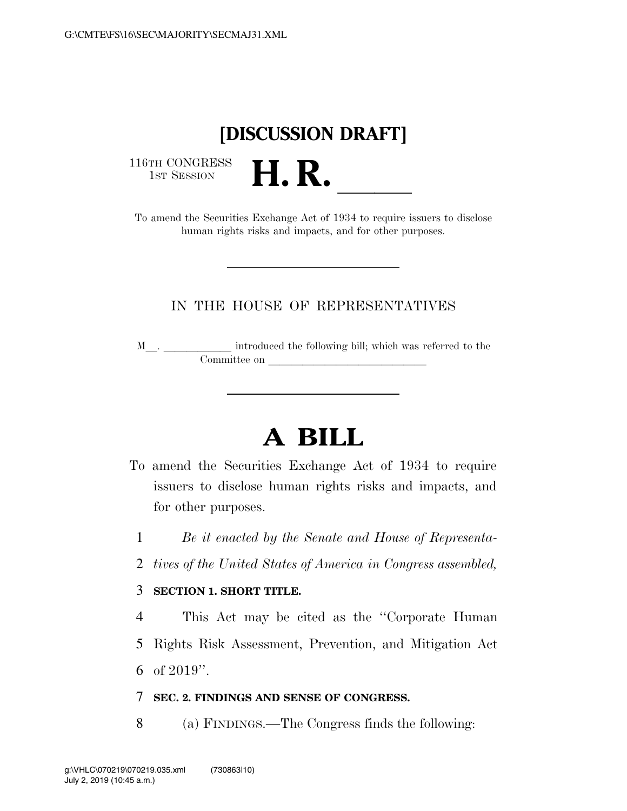## **[DISCUSSION DRAFT]**

 $\begin{array}{c} \textbf{116TH CONGRESS} \\ \textbf{1ST SESION} \end{array}$ 

16TH CONGRESS<br>1st SESSION<br>To amend the Securities Exchange Act of 1934 to require issuers to disclose human rights risks and impacts, and for other purposes.

### IN THE HOUSE OF REPRESENTATIVES

<sup>M</sup>l. llllll introduced the following bill; which was referred to the Committee on later and later and later and later and later and later and later and later and later and later and later and later and later and later and later and later and later and later and later and later and later and

# **A BILL**

- To amend the Securities Exchange Act of 1934 to require issuers to disclose human rights risks and impacts, and for other purposes.
	- 1 *Be it enacted by the Senate and House of Representa-*
	- 2 *tives of the United States of America in Congress assembled,*

### 3 **SECTION 1. SHORT TITLE.**

4 This Act may be cited as the ''Corporate Human 5 Rights Risk Assessment, Prevention, and Mitigation Act 6 of 2019''.

#### 7 **SEC. 2. FINDINGS AND SENSE OF CONGRESS.**

8 (a) FINDINGS.—The Congress finds the following: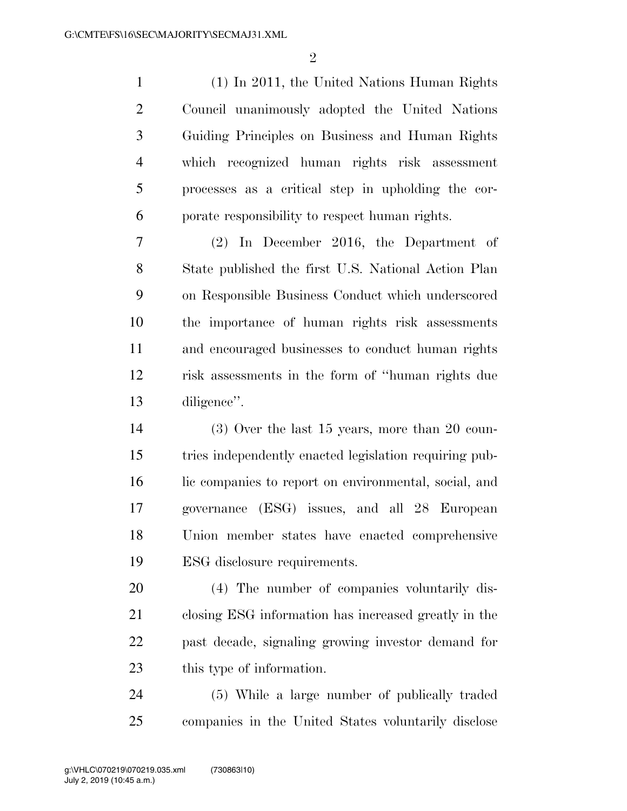(1) In 2011, the United Nations Human Rights Council unanimously adopted the United Nations Guiding Principles on Business and Human Rights which recognized human rights risk assessment processes as a critical step in upholding the cor-porate responsibility to respect human rights.

 (2) In December 2016, the Department of State published the first U.S. National Action Plan on Responsible Business Conduct which underscored the importance of human rights risk assessments and encouraged businesses to conduct human rights risk assessments in the form of ''human rights due diligence''.

 (3) Over the last 15 years, more than 20 coun- tries independently enacted legislation requiring pub-16 lic companies to report on environmental, social, and governance (ESG) issues, and all 28 European Union member states have enacted comprehensive ESG disclosure requirements.

 (4) The number of companies voluntarily dis- closing ESG information has increased greatly in the past decade, signaling growing investor demand for this type of information.

 (5) While a large number of publically traded companies in the United States voluntarily disclose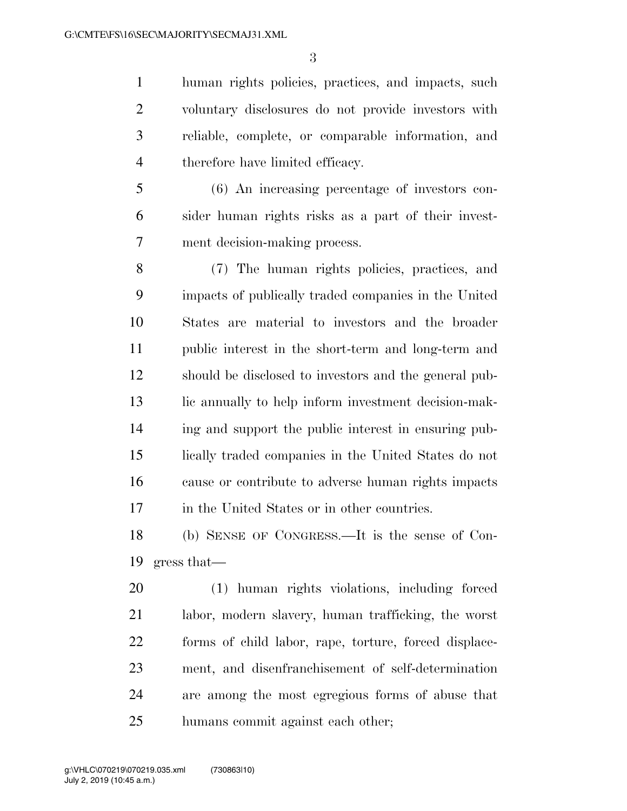human rights policies, practices, and impacts, such voluntary disclosures do not provide investors with reliable, complete, or comparable information, and therefore have limited efficacy.

 (6) An increasing percentage of investors con- sider human rights risks as a part of their invest-ment decision-making process.

 (7) The human rights policies, practices, and impacts of publically traded companies in the United States are material to investors and the broader public interest in the short-term and long-term and should be disclosed to investors and the general pub- lic annually to help inform investment decision-mak- ing and support the public interest in ensuring pub- lically traded companies in the United States do not cause or contribute to adverse human rights impacts in the United States or in other countries.

 (b) SENSE OF CONGRESS.—It is the sense of Con-gress that—

 (1) human rights violations, including forced labor, modern slavery, human trafficking, the worst forms of child labor, rape, torture, forced displace- ment, and disenfranchisement of self-determination are among the most egregious forms of abuse that humans commit against each other;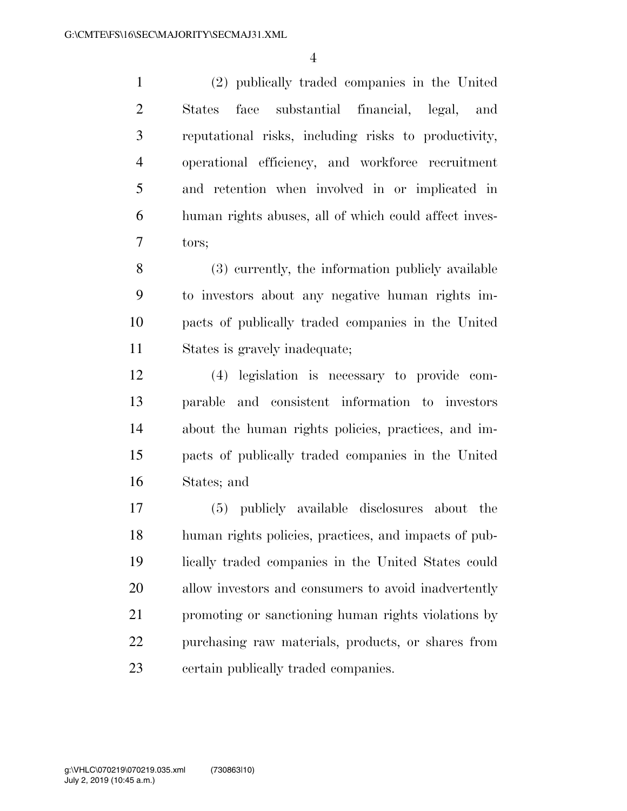(2) publically traded companies in the United States face substantial financial, legal, and reputational risks, including risks to productivity, operational efficiency, and workforce recruitment and retention when involved in or implicated in human rights abuses, all of which could affect inves-tors;

 (3) currently, the information publicly available to investors about any negative human rights im- pacts of publically traded companies in the United States is gravely inadequate;

 (4) legislation is necessary to provide com- parable and consistent information to investors about the human rights policies, practices, and im- pacts of publically traded companies in the United States; and

 (5) publicly available disclosures about the human rights policies, practices, and impacts of pub- lically traded companies in the United States could allow investors and consumers to avoid inadvertently promoting or sanctioning human rights violations by purchasing raw materials, products, or shares from certain publically traded companies.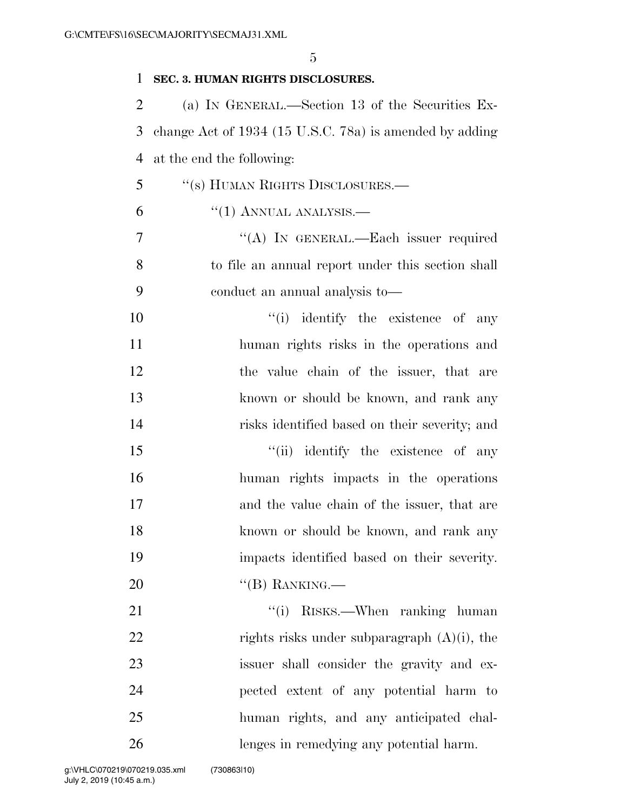| 1              | SEC. 3. HUMAN RIGHTS DISCLOSURES.                       |
|----------------|---------------------------------------------------------|
| $\overline{2}$ | (a) IN GENERAL.—Section 13 of the Securities Ex-        |
| 3              | change Act of 1934 (15 U.S.C. 78a) is amended by adding |
| $\overline{4}$ | at the end the following:                               |
| 5              | "(s) HUMAN RIGHTS DISCLOSURES.—                         |
| 6              | $``(1)$ ANNUAL ANALYSIS.—                               |
| 7              | "(A) IN GENERAL.—Each issuer required                   |
| 8              | to file an annual report under this section shall       |
| 9              | conduct an annual analysis to-                          |
| 10             | "(i) identify the existence of any                      |
| 11             | human rights risks in the operations and                |
| 12             | the value chain of the issuer, that are                 |
| 13             | known or should be known, and rank any                  |
| 14             | risks identified based on their severity; and           |
| 15             | "(ii) identify the existence of any                     |
| 16             | human rights impacts in the operations                  |
| 17             | and the value chain of the issuer, that are             |
| 18             | known or should be known, and rank any                  |
| 19             | impacts identified based on their severity.             |
| 20             | $\lq$ (B) RANKING.—                                     |
| 21             | "(i) RISKS.—When ranking human                          |
| 22             | rights risks under subparagraph $(A)(i)$ , the          |
| 23             | issuer shall consider the gravity and ex-               |
| 24             | pected extent of any potential harm to                  |
| 25             | human rights, and any anticipated chal-                 |
| 26             | lenges in remedying any potential harm.                 |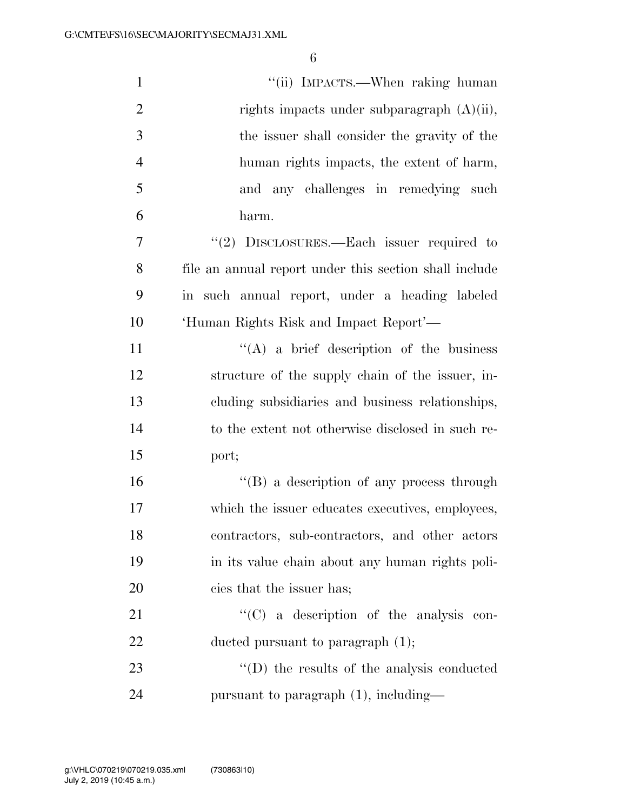| $\mathbf{1}$   | "(ii) IMPACTS.—When raking human                       |
|----------------|--------------------------------------------------------|
| $\overline{2}$ | rights impacts under subparagraph $(A)(ii)$ ,          |
| 3              | the issuer shall consider the gravity of the           |
| $\overline{4}$ | human rights impacts, the extent of harm,              |
| 5              | and any challenges in remedying such                   |
| 6              | harm.                                                  |
| $\overline{7}$ | " $(2)$ DISCLOSURES.—Each issuer required to           |
| 8              | file an annual report under this section shall include |
| 9              | in such annual report, under a heading labeled         |
| 10             | 'Human Rights Risk and Impact Report'-                 |
| 11             | $\lq\lq$ (A) a brief description of the business       |
| 12             | structure of the supply chain of the issuer, in-       |
| 13             | cluding subsidiaries and business relationships,       |
| 14             | to the extent not otherwise disclosed in such re-      |
| 15             | port;                                                  |
| 16             | "(B) a description of any process through              |
| 17             | which the issuer educates executives, employees,       |
| 18             | contractors, sub-contractors, and other actors         |
| 19             | in its value chain about any human rights poli-        |
| 20             | cies that the issuer has;                              |
| 21             | $\lq\lq$ (C) a description of the analysis con-        |
| 22             | ducted pursuant to paragraph $(1)$ ;                   |
| 23             | $\lq\lq$ the results of the analysis conducted         |
| 24             | pursuant to paragraph (1), including—                  |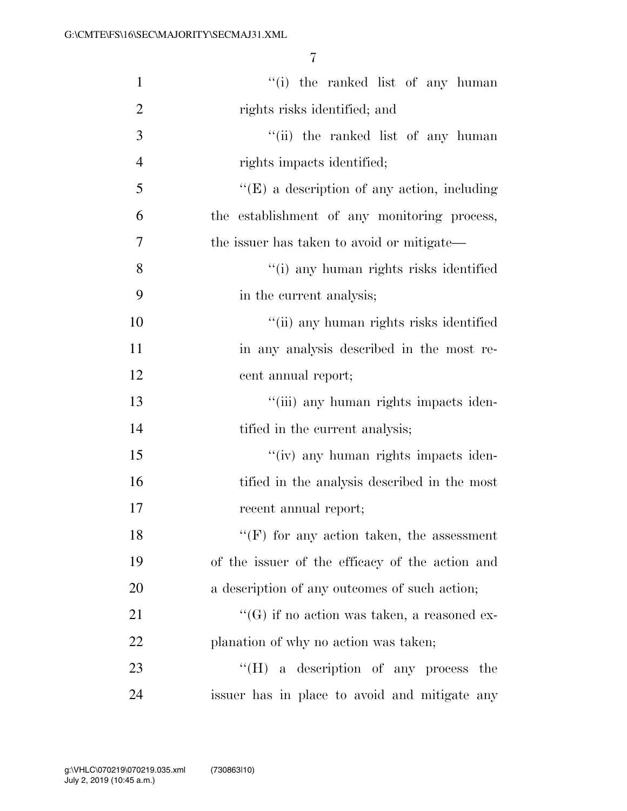| $\mathbf{1}$   | "(i) the ranked list of any human                   |
|----------------|-----------------------------------------------------|
| $\overline{2}$ | rights risks identified; and                        |
| 3              | "(ii) the ranked list of any human                  |
| $\overline{4}$ | rights impacts identified;                          |
| 5              | $\lq\lq$ (E) a description of any action, including |
| 6              | the establishment of any monitoring process,        |
| 7              | the issuer has taken to avoid or mitigate—          |
| 8              | "(i) any human rights risks identified              |
| 9              | in the current analysis;                            |
| 10             | "(ii) any human rights risks identified             |
| 11             | in any analysis described in the most re-           |
| 12             | cent annual report;                                 |
| 13             | "(iii) any human rights impacts iden-               |
| 14             | tified in the current analysis;                     |
| 15             | "(iv) any human rights impacts iden-                |
| 16             | tified in the analysis described in the most        |
| 17             | recent annual report;                               |
| 18             | $``(F)$ for any action taken, the assessment        |
| 19             | of the issuer of the efficacy of the action and     |
| 20             | a description of any outcomes of such action;       |
| 21             | "(G) if no action was taken, a reasoned ex-         |
| 22             | planation of why no action was taken;               |
| 23             | $\lq\lq (H)$ a description of any process<br>the    |
| 24             | issuer has in place to avoid and mitigate any       |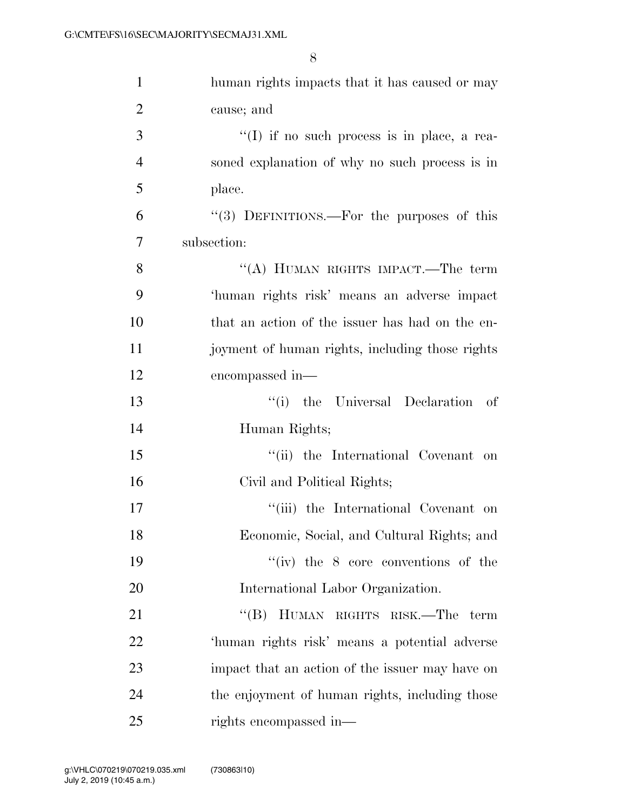| $\mathbf{1}$   | human rights impacts that it has caused or may  |
|----------------|-------------------------------------------------|
| $\overline{2}$ | cause; and                                      |
| 3              | "(I) if no such process is in place, a rea-     |
| $\overline{4}$ | soned explanation of why no such process is in  |
| 5              | place.                                          |
| 6              | "(3) DEFINITIONS.—For the purposes of this      |
| 7              | subsection:                                     |
| 8              | "(A) HUMAN RIGHTS IMPACT.—The term              |
| 9              | 'human rights risk' means an adverse impact     |
| 10             | that an action of the issuer has had on the en- |
| 11             | joyment of human rights, including those rights |
| 12             | encompassed in—                                 |
| 13             | "(i) the Universal Declaration of               |
| 14             | Human Rights;                                   |
| 15             | "(ii) the International Covenant on             |
| 16             | Civil and Political Rights;                     |
| 17             | "(iii) the International Covenant on            |
| 18             | Economic, Social, and Cultural Rights; and      |
| 19             | "(iv) the $8$ core conventions of the           |
| 20             | International Labor Organization.               |
| 21             | "(B) HUMAN RIGHTS RISK.—The<br>term             |
| 22             | 'human rights risk' means a potential adverse   |
| 23             | impact that an action of the issuer may have on |
| 24             | the enjoyment of human rights, including those  |
| 25             | rights encompassed in—                          |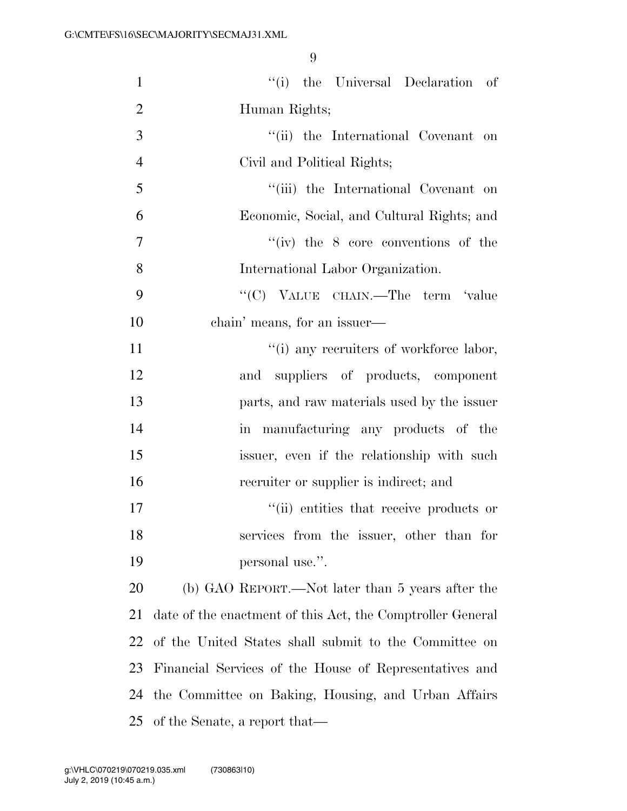| $\mathbf{1}$   | $``(i)$ the Universal Declaration of                       |
|----------------|------------------------------------------------------------|
| $\overline{2}$ | Human Rights;                                              |
| $\mathfrak{Z}$ | "(ii) the International Covenant on                        |
| $\overline{4}$ | Civil and Political Rights;                                |
| 5              | "(iii) the International Covenant on                       |
| 6              | Economic, Social, and Cultural Rights; and                 |
| 7              | $``(iv)$ the 8 core conventions of the                     |
| 8              | International Labor Organization.                          |
| 9              | "(C) VALUE CHAIN.—The term 'value                          |
| 10             | chain' means, for an issuer—                               |
| 11             | "(i) any recruiters of workforce labor,                    |
| 12             | and suppliers of products, component                       |
| 13             | parts, and raw materials used by the issuer                |
| 14             | in manufacturing any products of the                       |
| 15             | issuer, even if the relationship with such                 |
| 16             | recruiter or supplier is indirect; and                     |
| 17             | "(ii) entities that receive products or                    |
| 18             | services from the issuer, other than for                   |
| 19             | personal use.".                                            |
| 20             | (b) GAO REPORT.—Not later than 5 years after the           |
| 21             | date of the enactment of this Act, the Comptroller General |
| 22             | of the United States shall submit to the Committee on      |
| 23             | Financial Services of the House of Representatives and     |
| 24             | the Committee on Baking, Housing, and Urban Affairs        |
| 25             | of the Senate, a report that—                              |